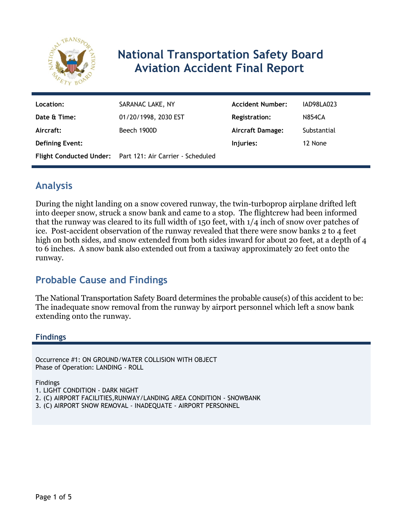

# **National Transportation Safety Board Aviation Accident Final Report**

| Location:              | SARANAC LAKE, NY                                          | <b>Accident Number:</b> | IAD98LA023    |
|------------------------|-----------------------------------------------------------|-------------------------|---------------|
| Date & Time:           | 01/20/1998, 2030 EST                                      | <b>Registration:</b>    | <b>N854CA</b> |
| Aircraft:              | Beech 1900D                                               | <b>Aircraft Damage:</b> | Substantial   |
| <b>Defining Event:</b> |                                                           | Injuries:               | 12 None       |
|                        | Flight Conducted Under: Part 121: Air Carrier - Scheduled |                         |               |

## **Analysis**

During the night landing on a snow covered runway, the twin-turboprop airplane drifted left into deeper snow, struck a snow bank and came to a stop. The flightcrew had been informed that the runway was cleared to its full width of 150 feet, with 1/4 inch of snow over patches of ice. Post-accident observation of the runway revealed that there were snow banks 2 to 4 feet high on both sides, and snow extended from both sides inward for about 20 feet, at a depth of 4 to 6 inches. A snow bank also extended out from a taxiway approximately 20 feet onto the runway.

# **Probable Cause and Findings**

The National Transportation Safety Board determines the probable cause(s) of this accident to be: The inadequate snow removal from the runway by airport personnel which left a snow bank extending onto the runway.

### **Findings**

Occurrence #1: ON GROUND/WATER COLLISION WITH OBJECT Phase of Operation: LANDING - ROLL

Findings

- 1. LIGHT CONDITION DARK NIGHT
- 2. (C) AIRPORT FACILITIES,RUNWAY/LANDING AREA CONDITION SNOWBANK
- 3. (C) AIRPORT SNOW REMOVAL INADEQUATE AIRPORT PERSONNEL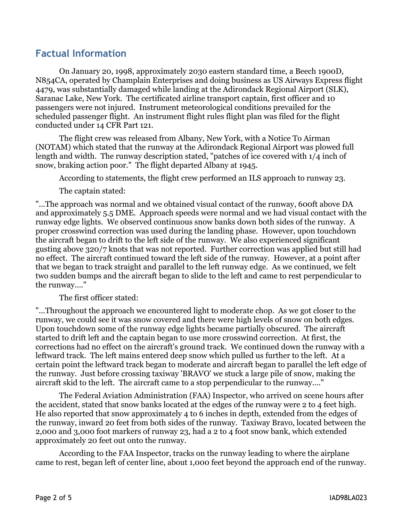### **Factual Information**

 On January 20, 1998, approximately 2030 eastern standard time, a Beech 1900D, N854CA, operated by Champlain Enterprises and doing business as US Airways Express flight 4479, was substantially damaged while landing at the Adirondack Regional Airport (SLK), Saranac Lake, New York. The certificated airline transport captain, first officer and 10 passengers were not injured. Instrument meteorological conditions prevailed for the scheduled passenger flight. An instrument flight rules flight plan was filed for the flight conducted under 14 CFR Part 121.

The flight crew was released from Albany, New York, with a Notice To Airman (NOTAM) which stated that the runway at the Adirondack Regional Airport was plowed full length and width. The runway description stated, "patches of ice covered with 1/4 inch of snow, braking action poor." The flight departed Albany at 1945.

According to statements, the flight crew performed an ILS approach to runway 23.

The captain stated:

"...The approach was normal and we obtained visual contact of the runway, 600ft above DA and approximately 5.5 DME. Approach speeds were normal and we had visual contact with the runway edge lights. We observed continuous snow banks down both sides of the runway. A proper crosswind correction was used during the landing phase. However, upon touchdown the aircraft began to drift to the left side of the runway. We also experienced significant gusting above 320/7 knots that was not reported. Further correction was applied but still had no effect. The aircraft continued toward the left side of the runway. However, at a point after that we began to track straight and parallel to the left runway edge. As we continued, we felt two sudden bumps and the aircraft began to slide to the left and came to rest perpendicular to the runway...."

The first officer stated:

"...Throughout the approach we encountered light to moderate chop. As we got closer to the runway, we could see it was snow covered and there were high levels of snow on both edges. Upon touchdown some of the runway edge lights became partially obscured. The aircraft started to drift left and the captain began to use more crosswind correction. At first, the corrections had no effect on the aircraft's ground track. We continued down the runway with a leftward track. The left mains entered deep snow which pulled us further to the left. At a certain point the leftward track began to moderate and aircraft began to parallel the left edge of the runway. Just before crossing taxiway 'BRAVO' we stuck a large pile of snow, making the aircraft skid to the left. The aircraft came to a stop perpendicular to the runway...."

The Federal Aviation Administration (FAA) Inspector, who arrived on scene hours after the accident, stated that snow banks located at the edges of the runway were 2 to 4 feet high. He also reported that snow approximately 4 to 6 inches in depth, extended from the edges of the runway, inward 20 feet from both sides of the runway. Taxiway Bravo, located between the 2,000 and 3,000 foot markers of runway 23, had a 2 to 4 foot snow bank, which extended approximately 20 feet out onto the runway.

According to the FAA Inspector, tracks on the runway leading to where the airplane came to rest, began left of center line, about 1,000 feet beyond the approach end of the runway.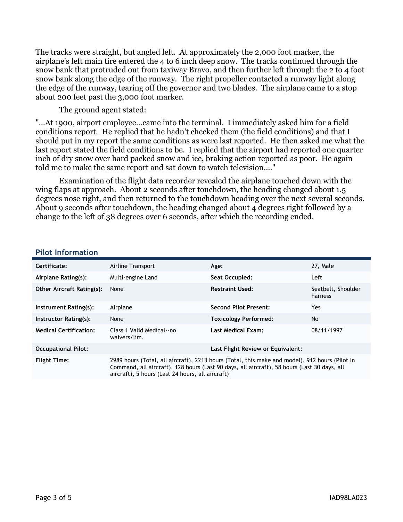The tracks were straight, but angled left. At approximately the 2,000 foot marker, the airplane's left main tire entered the 4 to 6 inch deep snow. The tracks continued through the snow bank that protruded out from taxiway Bravo, and then further left through the 2 to 4 foot snow bank along the edge of the runway. The right propeller contacted a runway light along the edge of the runway, tearing off the governor and two blades. The airplane came to a stop about 200 feet past the 3,000 foot marker.

The ground agent stated:

"...At 1900, airport employee...came into the terminal. I immediately asked him for a field conditions report. He replied that he hadn't checked them (the field conditions) and that I should put in my report the same conditions as were last reported. He then asked me what the last report stated the field conditions to be. I replied that the airport had reported one quarter inch of dry snow over hard packed snow and ice, braking action reported as poor. He again told me to make the same report and sat down to watch television...."

Examination of the flight data recorder revealed the airplane touched down with the wing flaps at approach. About 2 seconds after touchdown, the heading changed about 1.5 degrees nose right, and then returned to the touchdown heading over the next several seconds. About 9 seconds after touchdown, the heading changed about 4 degrees right followed by a change to the left of 38 degrees over 6 seconds, after which the recording ended.

| Certificate:                     | Airline Transport                                                                                                                                                                                                                                 | Age:                         | 27, Male                      |
|----------------------------------|---------------------------------------------------------------------------------------------------------------------------------------------------------------------------------------------------------------------------------------------------|------------------------------|-------------------------------|
| Airplane Rating(s):              | Multi-engine Land                                                                                                                                                                                                                                 | Seat Occupied:               | Left                          |
| <b>Other Aircraft Rating(s):</b> | None                                                                                                                                                                                                                                              | <b>Restraint Used:</b>       | Seatbelt, Shoulder<br>harness |
| Instrument Rating(s):            | Airplane                                                                                                                                                                                                                                          | Second Pilot Present:        | Yes.                          |
| Instructor Rating(s):            | None                                                                                                                                                                                                                                              | <b>Toxicology Performed:</b> | No                            |
| <b>Medical Certification:</b>    | Class 1 Valid Medical--no<br>waivers/lim.                                                                                                                                                                                                         | Last Medical Exam:           | 08/11/1997                    |
| <b>Occupational Pilot:</b>       | Last Flight Review or Equivalent:                                                                                                                                                                                                                 |                              |                               |
| <b>Flight Time:</b>              | 2989 hours (Total, all aircraft), 2213 hours (Total, this make and model), 912 hours (Pilot In<br>Command, all aircraft), 128 hours (Last 90 days, all aircraft), 58 hours (Last 30 days, all<br>aircraft), 5 hours (Last 24 hours, all aircraft) |                              |                               |

#### **Pilot Information**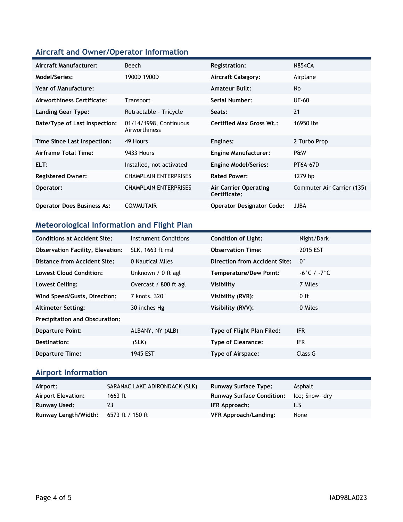### **Aircraft and Owner/Operator Information**

| Aircraft Manufacturer:            | Beech                                   | <b>Registration:</b>                  | <b>N854CA</b>              |
|-----------------------------------|-----------------------------------------|---------------------------------------|----------------------------|
| Model/Series:                     | 1900D 1900D                             | <b>Aircraft Category:</b>             | Airplane                   |
| Year of Manufacture:              |                                         | <b>Amateur Built:</b>                 | <b>No</b>                  |
| Airworthiness Certificate:        | <b>Transport</b>                        | Serial Number:                        | <b>UE-60</b>               |
| <b>Landing Gear Type:</b>         | Retractable - Tricycle                  | Seats:                                | 21                         |
| Date/Type of Last Inspection:     | 01/14/1998, Continuous<br>Airworthiness | <b>Certified Max Gross Wt.:</b>       | 16950 lbs                  |
| Time Since Last Inspection:       | 49 Hours                                | Engines:                              | 2 Turbo Prop               |
| Airframe Total Time:              | 9433 Hours                              | <b>Engine Manufacturer:</b>           | P&W                        |
| ELT:                              | Installed, not activated                | <b>Engine Model/Series:</b>           | <b>PT6A-67D</b>            |
| <b>Registered Owner:</b>          | <b>CHAMPLAIN ENTERPRISES</b>            | <b>Rated Power:</b>                   | 1279 hp                    |
| Operator:                         | <b>CHAMPLAIN ENTERPRISES</b>            | Air Carrier Operating<br>Certificate: | Commuter Air Carrier (135) |
| <b>Operator Does Business As:</b> | <b>COMMUTAIR</b>                        | <b>Operator Designator Code:</b>      | <b>JJBA</b>                |

### **Meteorological Information and Flight Plan**

| <b>Conditions at Accident Site:</b>     | Instrument Conditions | <b>Condition of Light:</b>    | Night/Dark                      |
|-----------------------------------------|-----------------------|-------------------------------|---------------------------------|
| <b>Observation Facility, Elevation:</b> | SLK, 1663 ft msl      | <b>Observation Time:</b>      | 2015 EST                        |
| Distance from Accident Site:            | 0 Nautical Miles      | Direction from Accident Site: | $\mathbf{0}^{\circ}$            |
| Lowest Cloud Condition:                 | Unknown / 0 ft agl    | <b>Temperature/Dew Point:</b> | $-6^{\circ}$ C / $-7^{\circ}$ C |
| <b>Lowest Ceiling:</b>                  | Overcast / 800 ft agl | Visibility                    | 7 Miles                         |
| Wind Speed/Gusts, Direction:            | 7 knots, 320°         | Visibility (RVR):             | 0 ft                            |
| <b>Altimeter Setting:</b>               | 30 inches Hg          | Visibility (RVV):             | 0 Miles                         |
| <b>Precipitation and Obscuration:</b>   |                       |                               |                                 |
| <b>Departure Point:</b>                 | ALBANY, NY (ALB)      | Type of Flight Plan Filed:    | <b>IFR</b>                      |
| Destination:                            | (SLK)                 | <b>Type of Clearance:</b>     | <b>IFR</b>                      |
| <b>Departure Time:</b>                  | 1945 EST              | Type of Airspace:             | Class G                         |

# **Airport Information**

| Airport:                  | SARANAC LAKE ADIRONDACK (SLK) | <b>Runway Surface Type:</b>      | Asphalt        |
|---------------------------|-------------------------------|----------------------------------|----------------|
| <b>Airport Elevation:</b> | 1663 ft                       | <b>Runway Surface Condition:</b> | Ice: Snow--dry |
| <b>Runway Used:</b>       | 23                            | IFR Approach:                    | ils            |
| Runway Length/Width:      | 6573 ft / 150 ft              | VFR Approach/Landing:            | None           |